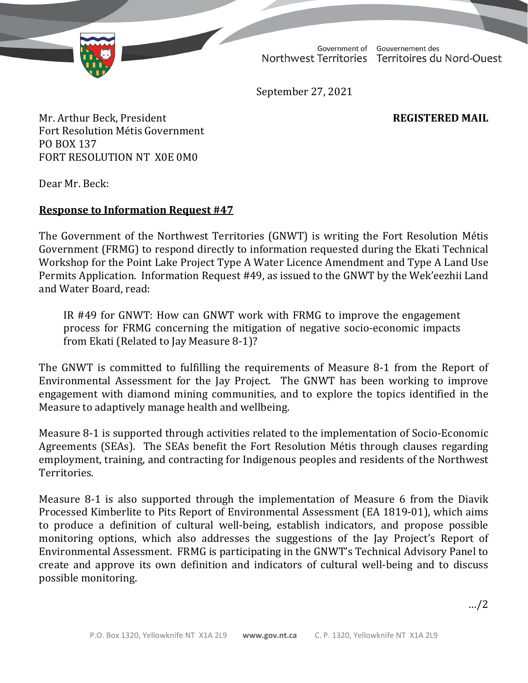Northwest Territories Territoires du Nord-Ouest

Government of Gouvernement des

September 27, 2021

Mr. Arthur Beck, President **REGISTERED MAIL** Fort Resolution Métis Government PO BOX 137 FORT RESOLUTION NT X0E 0M0

Dear Mr. Beck:

## **Response to Information Request #47**

The Government of the Northwest Territories (GNWT) is writing the Fort Resolution Métis Government (FRMG) to respond directly to information requested during the Ekati Technical Workshop for the Point Lake Project Type A Water Licence Amendment and Type A Land Use Permits Application. Information Request #49, as issued to the GNWT by the Wek'eezhii Land and Water Board, read:

IR #49 for GNWT: How can GNWT work with FRMG to improve the engagement process for FRMG concerning the mitigation of negative socio-economic impacts from Ekati (Related to Jay Measure 8-1)?

The GNWT is committed to fulfilling the requirements of Measure 8-1 from the Report of Environmental Assessment for the Jay Project. The GNWT has been working to improve engagement with diamond mining communities, and to explore the topics identified in the Measure to adaptively manage health and wellbeing.

Measure 8-1 is supported through activities related to the implementation of Socio-Economic Agreements (SEAs). The SEAs benefit the Fort Resolution Métis through clauses regarding employment, training, and contracting for Indigenous peoples and residents of the Northwest Territories.

Measure 8-1 is also supported through the implementation of Measure 6 from the Diavik Processed Kimberlite to Pits Report of Environmental Assessment (EA 1819-01), which aims to produce a definition of cultural well-being, establish indicators, and propose possible monitoring options, which also addresses the suggestions of the Jay Project's Report of Environmental Assessment. FRMG is participating in the GNWT's Technical Advisory Panel to create and approve its own definition and indicators of cultural well-being and to discuss possible monitoring.

…/2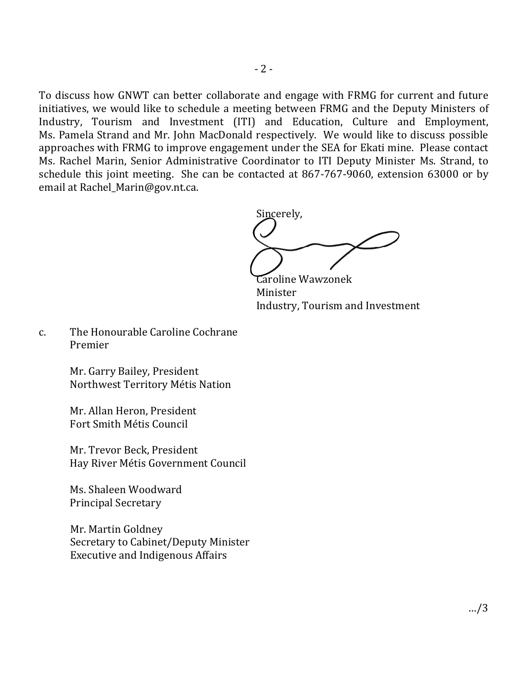To discuss how GNWT can better collaborate and engage with FRMG for current and future initiatives, we would like to schedule a meeting between FRMG and the Deputy Ministers of Industry, Tourism and Investment (ITI) and Education, Culture and Employment, Ms. Pamela Strand and Mr. John MacDonald respectively. We would like to discuss possible approaches with FRMG to improve engagement under the SEA for Ekati mine. Please contact Ms. Rachel Marin, Senior Administrative Coordinator to ITI Deputy Minister Ms. Strand, to schedule this joint meeting. She can be contacted at 867-767-9060, extension 63000 or by email at Rachel\_Marin@gov.nt.ca.

Sincerely,

Caroline Wawzonek Minister Industry, Tourism and Investment

c. The Honourable Caroline Cochrane Premier

> Mr. Garry Bailey, President Northwest Territory Métis Nation

Mr. Allan Heron, President Fort Smith Métis Council

Mr. Trevor Beck, President Hay River Métis Government Council

Ms. Shaleen Woodward Principal Secretary

Mr. Martin Goldney Secretary to Cabinet/Deputy Minister Executive and Indigenous Affairs